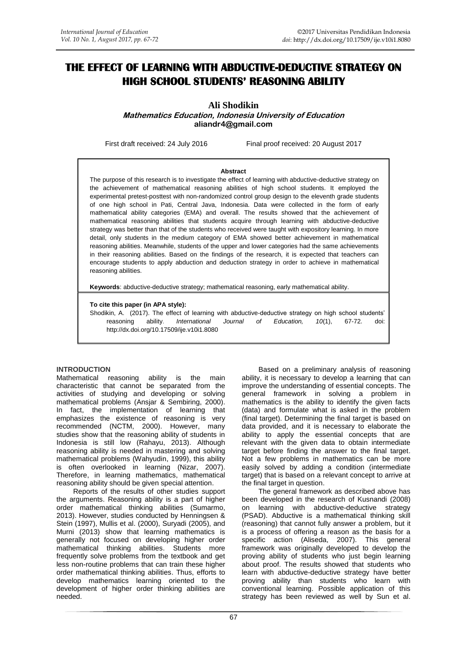# **THE EFFECT OF LEARNING WITH ABDUCTIVE-DEDUCTIVE STRATEGY ON HIGH SCHOOL STUDENTS' REASONING ABILITY**

# **Ali Shodikin**

**Mathematics Education, Indonesia University of Education [aliandr4@gmail.com](mailto:aliandr4@gmail.com)**

First draft received: 24 July 2016 Final proof received: 20 August 2017

#### **Abstract**

The purpose of this research is to investigate the effect of learning with abductive-deductive strategy on the achievement of mathematical reasoning abilities of high school students. It employed the experimental pretest-posttest with non-randomized control group design to the eleventh grade students of one high school in Pati, Central Java, Indonesia. Data were collected in the form of early mathematical ability categories (EMA) and overall. The results showed that the achievement of mathematical reasoning abilities that students acquire through learning with abductive-deductive strategy was better than that of the students who received were taught with expository learning. In more detail, only students in the medium category of EMA showed better achievement in mathematical reasoning abilities. Meanwhile, students of the upper and lower categories had the same achievements in their reasoning abilities. Based on the findings of the research, it is expected that teachers can encourage students to apply abduction and deduction strategy in order to achieve in mathematical reasoning abilities.

**Keywords**: abductive-deductive strategy; mathematical reasoning, early mathematical ability.

#### **To cite this paper (in APA style):**

Shodikin, A. (2017). The effect of learning with abductive-deductive strategy on high school students' reasoning ability. *International Journal of Education, 10*(1), 67-72. doi: http://dx.doi.org/10.17509/ije.v10i1.8080

#### **INTRODUCTION**

Mathematical reasoning ability is the main characteristic that cannot be separated from the activities of studying and developing or solving mathematical problems (Ansjar & Sembiring, 2000). In fact, the implementation of learning that emphasizes the existence of reasoning is very recommended (NCTM, 2000). However, many studies show that the reasoning ability of students in Indonesia is still low (Rahayu, 2013). Although reasoning ability is needed in mastering and solving mathematical problems (Wahyudin, 1999), this ability is often overlooked in learning (Nizar, 2007). Therefore, in learning mathematics, mathematical reasoning ability should be given special attention.

Reports of the results of other studies support the arguments. Reasoning ability is a part of higher order mathematical thinking abilities (Sumarmo, 2013). However, studies conducted by Henningsen & Stein (1997), Mullis et al. (2000), Suryadi (2005), and Murni (2013) show that learning mathematics is generally not focused on developing higher order mathematical thinking abilities. Students more frequently solve problems from the textbook and get less non-routine problems that can train these higher order mathematical thinking abilities. Thus, efforts to develop mathematics learning oriented to the development of higher order thinking abilities are needed.

Based on a preliminary analysis of reasoning ability, it is necessary to develop a learning that can improve the understanding of essential concepts. The general framework in solving a problem in mathematics is the ability to identify the given facts (data) and formulate what is asked in the problem (final target). Determining the final target is based on data provided, and it is necessary to elaborate the ability to apply the essential concepts that are relevant with the given data to obtain intermediate target before finding the answer to the final target. Not a few problems in mathematics can be more easily solved by adding a condition (intermediate target) that is based on a relevant concept to arrive at the final target in question. The general framework as described above has

been developed in the research of Kusnandi (2008) on learning with abductive-deductive strategy (PSAD). Abductive is a mathematical thinking skill (reasoning) that cannot fully answer a problem, but it is a process of offering a reason as the basis for a specific action (Aliseda, 2007). This general framework was originally developed to develop the proving ability of students who just begin learning about proof. The results showed that students who learn with abductive-deductive strategy have better proving ability than students who learn with conventional learning. Possible application of this strategy has been reviewed as well by Sun et al.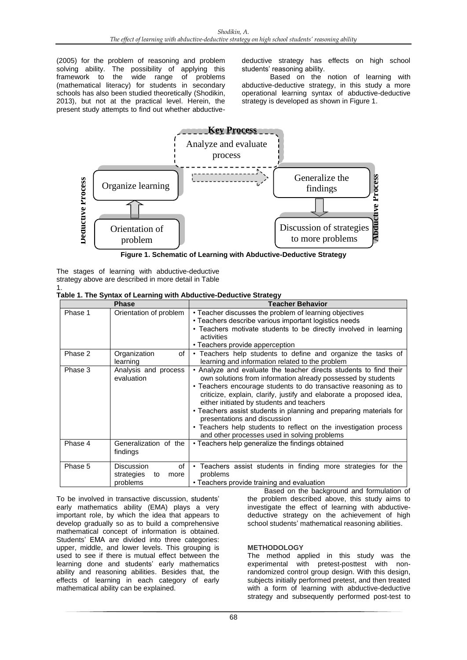(2005) for the problem of reasoning and problem solving ability. The possibility of applying this framework to the wide range of problems wide range of problems (mathematical literacy) for students in secondary schools has also been studied theoretically (Shodikin, 2013), but not at the practical level. Herein, the present study attempts to find out whether abductivedeductive strategy has effects on high school students' reasoning ability.

Based on the notion of learning with abductive-deductive strategy, in this study a more operational learning syntax of abductive-deductive strategy is developed as shown in Figure 1.



**Figure 1. Schematic of Learning with Abductive-Deductive Strategy**

|                                                      |  |  |  |  | The stages of learning with abductive-deductive |
|------------------------------------------------------|--|--|--|--|-------------------------------------------------|
| strategy above are described in more detail in Table |  |  |  |  |                                                 |
|                                                      |  |  |  |  |                                                 |

|  | Table 1. The Syntax of Learning with Abductive-Deductive Strategy |  |
|--|-------------------------------------------------------------------|--|

| <b>Phase</b> |                                                                 | <b>Teacher Behavior</b>                                                                                                                                                                                                                                                                                                                                                                                                                                                                                                                            |  |  |  |
|--------------|-----------------------------------------------------------------|----------------------------------------------------------------------------------------------------------------------------------------------------------------------------------------------------------------------------------------------------------------------------------------------------------------------------------------------------------------------------------------------------------------------------------------------------------------------------------------------------------------------------------------------------|--|--|--|
| Phase 1      | Orientation of problem                                          | • Teacher discusses the problem of learning objectives<br>• Teachers describe various important logistics needs<br>• Teachers motivate students to be directly involved in learning<br>activities<br>• Teachers provide apperception                                                                                                                                                                                                                                                                                                               |  |  |  |
| Phase 2      | Organization<br>of<br>learning                                  | • Teachers help students to define and organize the tasks of<br>learning and information related to the problem                                                                                                                                                                                                                                                                                                                                                                                                                                    |  |  |  |
| Phase 3      | Analysis and process<br>evaluation                              | • Analyze and evaluate the teacher directs students to find their<br>own solutions from information already possessed by students<br>• Teachers encourage students to do transactive reasoning as to<br>criticize, explain, clarify, justify and elaborate a proposed idea,<br>either initiated by students and teachers<br>• Teachers assist students in planning and preparing materials for<br>presentations and discussion<br>• Teachers help students to reflect on the investigation process<br>and other processes used in solving problems |  |  |  |
| Phase 4      | Generalization of the<br>findings                               | • Teachers help generalize the findings obtained                                                                                                                                                                                                                                                                                                                                                                                                                                                                                                   |  |  |  |
| Phase 5      | <b>Discussion</b><br>οf<br>strategies<br>more<br>to<br>problems | • Teachers assist students in finding more strategies for the<br>problems<br>• Teachers provide training and evaluation                                                                                                                                                                                                                                                                                                                                                                                                                            |  |  |  |

To be involved in transactive discussion, students' early mathematics ability (EMA) plays a very important role, by which the idea that appears to develop gradually so as to build a comprehensive mathematical concept of information is obtained. Students' EMA are divided into three categories: upper, middle, and lower levels. This grouping is used to see if there is mutual effect between the learning done and students' early mathematics ability and reasoning abilities. Besides that, the effects of learning in each category of early mathematical ability can be explained.

Based on the background and formulation of the problem described above, this study aims to investigate the effect of learning with abductivedeductive strategy on the achievement of high school students' mathematical reasoning abilities.

## **METHODOLOGY**

The method applied in this study was the experimental with pretest-posttest with nonrandomized control group design. With this design, subjects initially performed pretest, and then treated with a form of learning with abductive-deductive strategy and subsequently performed post-test to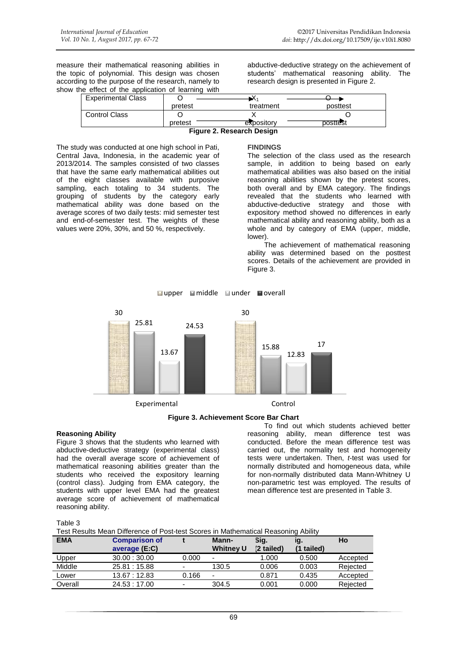measure their mathematical reasoning abilities in the topic of polynomial. This design was chosen according to the purpose of the research, namely to show the effect of the application of learning with

abductive-deductive strategy on the achievement of students' mathematical reasoning ability. The research design is presented in Figure 2.

| pretest                   | expository | posttest |
|---------------------------|------------|----------|
|                           |            |          |
| <b>Control Class</b>      |            |          |
| pretest                   | treatment  | posttest |
| <b>Experimental Class</b> |            |          |

**Figure 2. Research Design**

The study was conducted at one high school in Pati, Central Java, Indonesia, in the academic year of 2013/2014. The samples consisted of two classes that have the same early mathematical abilities out of the eight classes available with purposive sampling, each totaling to 34 students. The grouping of students by the category early mathematical ability was done based on the average scores of two daily tests: mid semester test and end-of-semester test. The weights of these values were 20%, 30%, and 50 %, respectively.

### **FINDINGS**

The selection of the class used as the research sample, in addition to being based on early mathematical abilities was also based on the initial reasoning abilities shown by the pretest scores, both overall and by EMA category. The findings revealed that the students who learned with abductive-deductive strategy and those with expository method showed no differences in early mathematical ability and reasoning ability, both as a whole and by category of EMA (upper, middle, lower).

The achievement of mathematical reasoning ability was determined based on the posttest scores. Details of the achievement are provided in Figure 3.



**■upper ■middle ■under ■overall** 



## **Reasoning Ability**

Figure 3 shows that the students who learned with abductive-deductive strategy (experimental class) had the overall average score of achievement of mathematical reasoning abilities greater than the students who received the expository learning (control class). Judging from EMA category, the students with upper level EMA had the greatest average score of achievement of mathematical reasoning ability.

To find out which students achieved better reasoning ability, mean difference test was conducted. Before the mean difference test was carried out, the normality test and homogeneity tests were undertaken. Then, *t*-test was used for normally distributed and homogeneous data, while for non-normally distributed data Mann-Whitney U non-parametric test was employed. The results of mean difference test are presented in Table 3.

| anle |  |
|------|--|
|      |  |

Test Results Mean Difference of Post-test Scores in Mathematical Reasoning Ability

| <b>EMA</b> | <b>Comparison of</b><br>average (E:C) |                          | Mann-<br><b>Whitney U</b> | Sig.<br>(2 tailed) | ıg.<br>(1 tailed) | Ho       |
|------------|---------------------------------------|--------------------------|---------------------------|--------------------|-------------------|----------|
| Upper      | 30.00:30.00                           | 0.000                    |                           | 1.000              | 0.500             | Accepted |
| Middle     | 25.81 : 15.88                         | $\blacksquare$           | 130.5                     | 0.006              | 0.003             | Rejected |
| Lower      | 13.67 : 12.83                         | 0.166                    |                           | 0.871              | 0.435             | Accepted |
| Overall    | 24.53 : 17.00                         | $\overline{\phantom{0}}$ | 304.5                     | 0.001              | 0.000             | Rejected |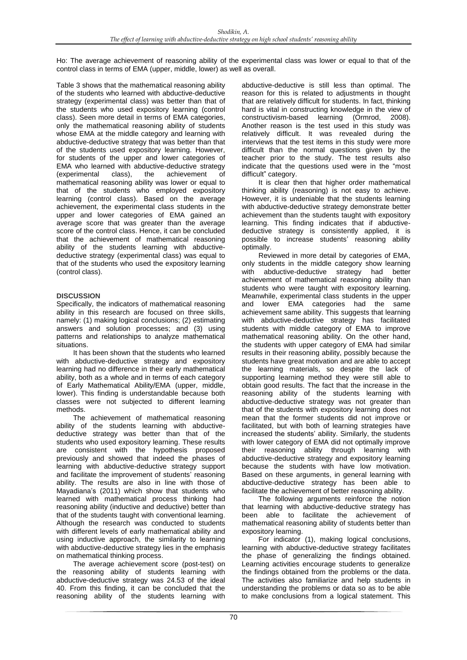Ho: The average achievement of reasoning ability of the experimental class was lower or equal to that of the control class in terms of EMA (upper, middle, lower) as well as overall.

Table 3 shows that the mathematical reasoning ability of the students who learned with abductive-deductive strategy (experimental class) was better than that of the students who used expository learning (control class). Seen more detail in terms of EMA categories, only the mathematical reasoning ability of students whose EMA at the middle category and learning with abductive-deductive strategy that was better than that of the students used expository learning. However, for students of the upper and lower categories of EMA who learned with abductive-deductive strategy (experimental class), the achievement of mathematical reasoning ability was lower or equal to that of the students who employed expository learning (control class). Based on the average achievement, the experimental class students in the upper and lower categories of EMA gained an average score that was greater than the average score of the control class. Hence, it can be concluded that the achievement of mathematical reasoning ability of the students learning with abductivedeductive strategy (experimental class) was equal to that of the students who used the expository learning (control class).

# **DISCUSSION**

Specifically, the indicators of mathematical reasoning ability in this research are focused on three skills, namely: (1) making logical conclusions; (2) estimating answers and solution processes; and (3) using patterns and relationships to analyze mathematical situations.

It has been shown that the students who learned with abductive-deductive strategy and expository learning had no difference in their early mathematical ability, both as a whole and in terms of each category of Early Mathematical Ability/EMA (upper, middle, lower). This finding is understandable because both classes were not subjected to different learning methods.

The achievement of mathematical reasoning ability of the students learning with abductivedeductive strategy was better than that of the students who used expository learning. These results are consistent with the hypothesis proposed previously and showed that indeed the phases of learning with abductive-deductive strategy support and facilitate the improvement of students' reasoning ability. The results are also in line with those of Mayadiana's (2011) which show that students who learned with mathematical process thinking had reasoning ability (inductive and deductive) better than that of the students taught with conventional learning. Although the research was conducted to students with different levels of early mathematical ability and using inductive approach, the similarity to learning with abductive-deductive strategy lies in the emphasis on mathematical thinking process.

The average achievement score (post-test) on the reasoning ability of students learning with abductive-deductive strategy was 24.53 of the ideal 40. From this finding, it can be concluded that the reasoning ability of the students learning with

abductive-deductive is still less than optimal. The reason for this is related to adjustments in thought that are relatively difficult for students. In fact, thinking hard is vital in constructing knowledge in the view of constructivism-based learning (Ormrod, 2008). Another reason is the test used in this study was relatively difficult. It was revealed during the interviews that the test items in this study were more difficult than the normal questions given by the teacher prior to the study. The test results also indicate that the questions used were in the "most difficult" category.

It is clear then that higher order mathematical thinking ability (reasoning) is not easy to achieve. However, it is undeniable that the students learning with abductive-deductive strategy demonstrate better achievement than the students taught with expository learning. This finding indicates that if abductivedeductive strategy is consistently applied, it is possible to increase students' reasoning ability optimally.

Reviewed in more detail by categories of EMA, only students in the middle category show learning with abductive-deductive strategy had better achievement of mathematical reasoning ability than students who were taught with expository learning. Meanwhile, experimental class students in the upper and lower EMA categories had the same achievement same ability. This suggests that learning with abductive-deductive strategy has facilitated students with middle category of EMA to improve mathematical reasoning ability. On the other hand, the students with upper category of EMA had similar results in their reasoning ability, possibly because the students have great motivation and are able to accept the learning materials, so despite the lack of supporting learning method they were still able to obtain good results. The fact that the increase in the reasoning ability of the students learning with abductive-deductive strategy was not greater than that of the students with expository learning does not mean that the former students did not improve or facilitated, but with both of learning strategies have increased the students' ability. Similarly, the students with lower category of EMA did not optimally improve their reasoning ability through learning with abductive-deductive strategy and expository learning because the students with have low motivation. Based on these arguments, in general learning with abductive-deductive strategy has been able to facilitate the achievement of better reasoning ability.

The following arguments reinforce the notion that learning with abductive-deductive strategy has been able to facilitate the achievement of mathematical reasoning ability of students better than expository learning.

For indicator (1), making logical conclusions, learning with abductive-deductive strategy facilitates the phase of generalizing the findings obtained. Learning activities encourage students to generalize the findings obtained from the problems or the data. The activities also familiarize and help students in understanding the problems or data so as to be able to make conclusions from a logical statement. This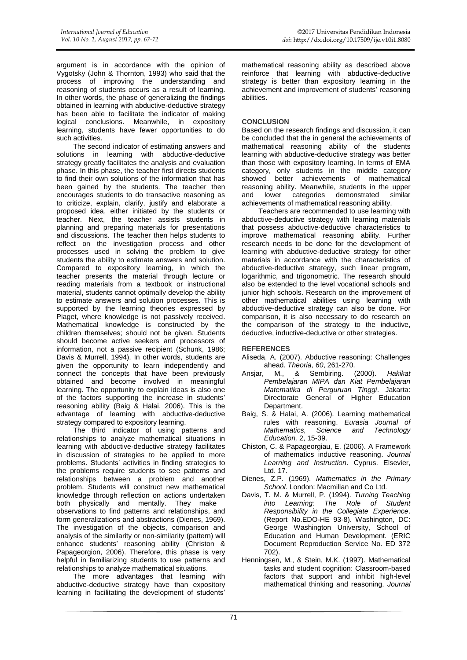argument is in accordance with the opinion of Vygotsky (John & Thornton, 1993) who said that the process of improving the understanding and reasoning of students occurs as a result of learning. In other words, the phase of generalizing the findings obtained in learning with abductive-deductive strategy has been able to facilitate the indicator of making logical conclusions. Meanwhile, in expository learning, students have fewer opportunities to do such activities.

The second indicator of estimating answers and solutions in learning with abductive-deductive strategy greatly facilitates the analysis and evaluation phase. In this phase, the teacher first directs students to find their own solutions of the information that has been gained by the students. The teacher then encourages students to do transactive reasoning as to criticize, explain, clarify, justify and elaborate a proposed idea, either initiated by the students or teacher. Next, the teacher assists students in planning and preparing materials for presentations and discussions. The teacher then helps students to reflect on the investigation process and other processes used in solving the problem to give students the ability to estimate answers and solution. Compared to expository learning, in which the teacher presents the material through lecture or reading materials from a textbook or instructional material, students cannot optimally develop the ability to estimate answers and solution processes. This is supported by the learning theories expressed by Piaget, where knowledge is not passively received. Mathematical knowledge is constructed by the children themselves; should not be given. Students should become active seekers and processors of information, not a passive recipient (Schunk, 1986; Davis & Murrell, 1994). In other words, students are given the opportunity to learn independently and connect the concepts that have been previously obtained and become involved in meaningful learning. The opportunity to explain ideas is also one of the factors supporting the increase in students' reasoning ability (Baig & Halai, 2006). This is the advantage of learning with abductive-deductive strategy compared to expository learning.

The third indicator of using patterns and relationships to analyze mathematical situations in learning with abductive-deductive strategy facilitates in discussion of strategies to be applied to more problems. Students' activities in finding strategies to the problems require students to see patterns and relationships between a problem and another problem. Students will construct new mathematical knowledge through reflection on actions undertaken both physically and mentally. They make observations to find patterns and relationships, and form generalizations and abstractions (Dienes, 1969). The investigation of the objects, comparison and analysis of the similarity or non-similarity (pattern) will enhance students' reasoning ability (Christon & Papageorgion, 2006). Therefore, this phase is very helpful in familiarizing students to use patterns and relationships to analyze mathematical situations.

The more advantages that learning with abductive-deductive strategy have than expository learning in facilitating the development of students'

mathematical reasoning ability as described above reinforce that learning with abductive-deductive strategy is better than expository learning in the achievement and improvement of students' reasoning abilities.

# **CONCLUSION**

Based on the research findings and discussion, it can be concluded that the in general the achievements of mathematical reasoning ability of the students learning with abductive-deductive strategy was better than those with expository learning. In terms of EMA category, only students in the middle category showed better achievements of mathematical reasoning ability. Meanwhile, students in the upper and lower categories demonstrated similar achievements of mathematical reasoning ability.

Teachers are recommended to use learning with abductive-deductive strategy with learning materials that possess abductive-deductive characteristics to improve mathematical reasoning ability. Further research needs to be done for the development of learning with abductive-deductive strategy for other materials in accordance with the characteristics of abductive-deductive strategy, such linear program, logarithmic, and trigonometric. The research should also be extended to the level vocational schools and junior high schools. Research on the improvement of other mathematical abilities using learning with abductive-deductive strategy can also be done. For comparison, it is also necessary to do research on the comparison of the strategy to the inductive, deductive, inductive-deductive or other strategies.

## **REFERENCES**

- Aliseda, A. (2007). Abductive reasoning: Challenges ahead. *Theoria*, *60*, 261-270.
- Ansjar, M., & Sembiring. (2000). *Hakikat Pembelajaran MIPA dan Kiat Pembelajaran Matematika di Perguruan Tinggi*. Jakarta: Directorate General of Higher Education Department.
- Baig, S. & Halai, A. (2006). Learning mathematical rules with reasoning. *Eurasia Journal of Mathematics, Science and Technology Education,* 2, 15-39.
- Chiston, C. & Papageorgiau, E. (2006). A Framework of mathematics inductive reasoning. *Journal Learning and Instruction*. Cyprus. Elsevier, Ltd. 17.
- Dienes, Z.P. (1969). *Mathematics in the Primary School*. London: Macmillan and Co Ltd.
- Davis, T. M. & Murrell, P. (1994). *Turning Teaching into Learning: The Role of Student Responsibility in the Collegiate Experience*. (Report No.EDO-HE 93-8). Washington, DC: George Washington University, School of Education and Human Development. (ERIC Document Reproduction Service No. ED 372 702).
- Henningsen, M., & Stein, M.K. (1997). Mathematical tasks and student cognition: Classroom-based factors that support and inhibit high-level mathematical thinking and reasoning. *Journal*